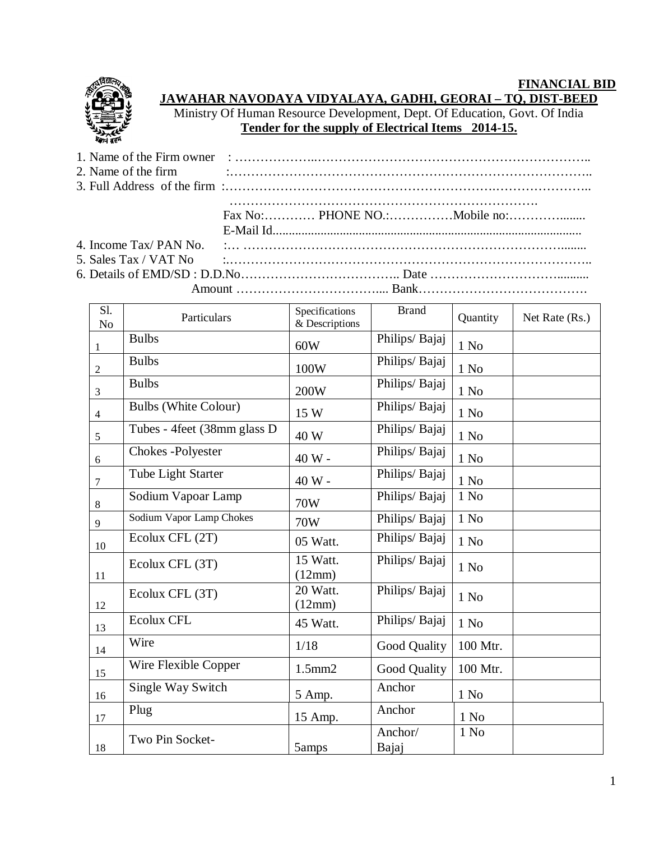## **FINANCIAL BID**



## **JAWAHAR NAVODAYA VIDYALAYA, GADHI, GEORAI – TQ, DIST-BEED**

Ministry Of Human Resource Development, Dept. Of Education, Govt. Of India **Tender for the supply of Electrical Items 2014-15.**

|  | 3. Full Address of the firm $\ldots$ $\ldots$ $\ldots$ $\ldots$ $\ldots$ $\ldots$ $\ldots$ $\ldots$ $\ldots$ $\ldots$ $\ldots$ $\ldots$ $\ldots$ $\ldots$    |
|--|--------------------------------------------------------------------------------------------------------------------------------------------------------------|
|  |                                                                                                                                                              |
|  |                                                                                                                                                              |
|  |                                                                                                                                                              |
|  |                                                                                                                                                              |
|  | 5. Sales Tax / VAT No $\ldots$ $\ldots$ $\ldots$ $\ldots$ $\ldots$ $\ldots$ $\ldots$ $\ldots$ $\ldots$ $\ldots$ $\ldots$ $\ldots$ $\ldots$ $\ldots$ $\ldots$ |
|  |                                                                                                                                                              |
|  |                                                                                                                                                              |

| S1.<br>N <sub>o</sub> | Particulars                  | Specifications<br>& Descriptions | <b>Brand</b>     | Quantity         | Net Rate (Rs.) |
|-----------------------|------------------------------|----------------------------------|------------------|------------------|----------------|
| 1                     | <b>Bulbs</b>                 | 60W                              | Philips/Bajaj    | $1$ No           |                |
| $\overline{2}$        | <b>Bulbs</b>                 | 100W                             | Philips/ Bajaj   | 1 N <sub>0</sub> |                |
| 3                     | <b>Bulbs</b>                 | 200W                             | Philips/Bajaj    | 1 N <sub>0</sub> |                |
| $\overline{4}$        | <b>Bulbs (White Colour)</b>  | 15 W                             | Philips/Bajaj    | $1$ No           |                |
| 5                     | Tubes - 4feet (38mm glass D) | 40 W                             | Philips/Bajaj    | $1\ \mathrm{No}$ |                |
| 6                     | Chokes -Polyester            | 40 W -                           | Philips/Bajaj    | 1 N <sub>0</sub> |                |
| 7                     | Tube Light Starter           | 40 W -                           | Philips/Bajaj    | $1$ No           |                |
| 8                     | Sodium Vapoar Lamp           | 70W                              | Philips/Bajaj    | $1$ No           |                |
| 9                     | Sodium Vapor Lamp Chokes     | 70W                              | Philips/Bajaj    | 1 N <sub>0</sub> |                |
| 10                    | Ecolux CFL (2T)              | 05 Watt.                         | Philips/Bajaj    | $1$ No           |                |
| 11                    | Ecolux CFL (3T)              | 15 Watt.<br>(12mm)               | Philips/Bajaj    | 1 N <sub>0</sub> |                |
| 12                    | Ecolux CFL (3T)              | 20 Watt.<br>(12mm)               | Philips/ Bajaj   | $1$ No           |                |
| 13                    | <b>Ecolux CFL</b>            | 45 Watt.                         | Philips/Bajaj    | 1 N <sub>0</sub> |                |
| 14                    | Wire                         | 1/18                             | Good Quality     | 100 Mtr.         |                |
| 15                    | Wire Flexible Copper         | $1.5$ mm $2$                     | Good Quality     | 100 Mtr.         |                |
| 16                    | Single Way Switch            | 5 Amp.                           | Anchor           | 1 N <sub>0</sub> |                |
| 17                    | Plug                         | 15 Amp.                          | Anchor           | 1 N <sub>0</sub> |                |
| 18                    | Two Pin Socket-              | 5amps                            | Anchor/<br>Bajaj | 1 No             |                |